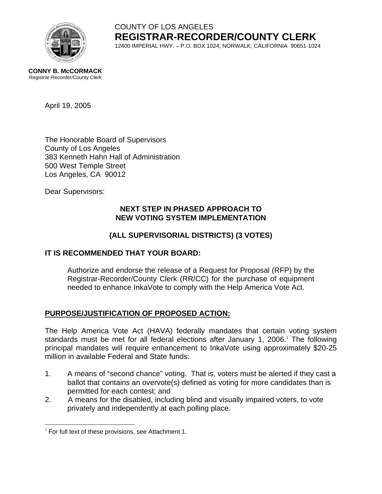

COUNTY OF LOS ANGELES **REGISTRAR-RECORDER/COUNTY CLERK** 12400 IMPERIAL HWY. – P.O. BOX 1024, NORWALK, CALIFORNIA 90651-1024

#### **CONNY B. McCORMACK** Registrar-Recorder/County Clerk

April 19, 2005

The Honorable Board of Supervisors County of Los Angeles 383 Kenneth Hahn Hall of Administration 500 West Temple Street Los Angeles, CA 90012

Dear Supervisors:

## **NEXT STEP IN PHASED APPROACH TO NEW VOTING SYSTEM IMPLEMENTATION**

# **(ALL SUPERVISORIAL DISTRICTS) (3 VOTES)**

## **IT IS RECOMMENDED THAT YOUR BOARD:**

Authorize and endorse the release of a Request for Proposal (RFP) by the Registrar-Recorder/County Clerk (RR/CC) for the purchase of equipment needed to enhance InkaVote to comply with the Help America Vote Act.

# **PURPOSE/JUSTIFICATION OF PROPOSED ACTION:**

The Help America Vote Act (HAVA) federally mandates that certain voting system standards must be met for all federal elections after January [1](#page-0-0), 2006.<sup>1</sup> The following principal mandates will require enhancement to InkaVote using approximately \$20-25 million in available Federal and State funds:

- 1. A means of "second chance" voting. That is, voters must be alerted if they cast a ballot that contains an overvote(s) defined as voting for more candidates than is permitted for each contest; and
- 2. A means for the disabled, including blind and visually impaired voters, to vote privately and independently at each polling place.

<span id="page-0-0"></span>i  $1$  For full text of these provisions, see Attachment 1.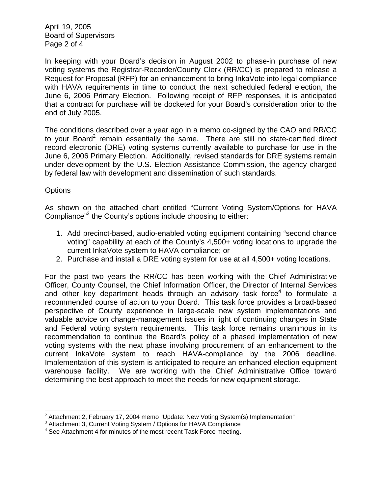April 19, 2005 Board of Supervisors Page 2 of 4

In keeping with your Board's decision in August 2002 to phase-in purchase of new voting systems the Registrar-Recorder/County Clerk (RR/CC) is prepared to release a Request for Proposal (RFP) for an enhancement to bring InkaVote into legal compliance with HAVA requirements in time to conduct the next scheduled federal election, the June 6, 2006 Primary Election. Following receipt of RFP responses, it is anticipated that a contract for purchase will be docketed for your Board's consideration prior to the end of July 2005.

The conditions described over a year ago in a memo co-signed by the CAO and RR/CC to your Board<sup>[2](#page-1-0)</sup> remain essentially the same. There are still no state-certified direct record electronic (DRE) voting systems currently available to purchase for use in the June 6, 2006 Primary Election. Additionally, revised standards for DRE systems remain under development by the U.S. Election Assistance Commission, the agency charged by federal law with development and dissemination of such standards.

## **Options**

As shown on the attached chart entitled "Current Voting System/Options for HAVA Compliance<sup>"[3](#page-1-1)</sup> the County's options include choosing to either:

- 1. Add precinct-based, audio-enabled voting equipment containing "second chance voting" capability at each of the County's 4,500+ voting locations to upgrade the current InkaVote system to HAVA compliance; or
- 2. Purchase and install a DRE voting system for use at all 4,500+ voting locations.

For the past two years the RR/CC has been working with the Chief Administrative Officer, County Counsel, the Chief Information Officer, the Director of Internal Services and other key department heads through an advisory task force<sup>[4](#page-1-2)</sup> to formulate a recommended course of action to your Board. This task force provides a broad-based perspective of County experience in large-scale new system implementations and valuable advice on change-management issues in light of continuing changes in State and Federal voting system requirements. This task force remains unanimous in its recommendation to continue the Board's policy of a phased implementation of new voting systems with the next phase involving procurement of an enhancement to the current InkaVote system to reach HAVA-compliance by the 2006 deadline. Implementation of this system is anticipated to require an enhanced election equipment warehouse facility. We are working with the Chief Administrative Office toward determining the best approach to meet the needs for new equipment storage.

<span id="page-1-0"></span>i  $2$  Attachment 2, February 17, 2004 memo "Update: New Voting System(s) Implementation"

<span id="page-1-1"></span> $3$  Attachment 3, Current Voting System / Options for HAVA Compliance

<span id="page-1-2"></span><sup>&</sup>lt;sup>4</sup> See Attachment 4 for minutes of the most recent Task Force meeting.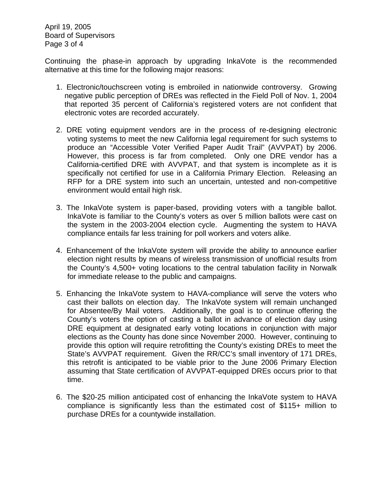April 19, 2005 Board of Supervisors Page 3 of 4

Continuing the phase-in approach by upgrading InkaVote is the recommended alternative at this time for the following major reasons:

- 1. Electronic/touchscreen voting is embroiled in nationwide controversy. Growing negative public perception of DREs was reflected in the Field Poll of Nov. 1, 2004 that reported 35 percent of California's registered voters are not confident that electronic votes are recorded accurately.
- 2. DRE voting equipment vendors are in the process of re-designing electronic voting systems to meet the new California legal requirement for such systems to produce an "Accessible Voter Verified Paper Audit Trail" (AVVPAT) by 2006. However, this process is far from completed. Only one DRE vendor has a California-certified DRE with AVVPAT, and that system is incomplete as it is specifically not certified for use in a California Primary Election. Releasing an RFP for a DRE system into such an uncertain, untested and non-competitive environment would entail high risk.
- 3. The InkaVote system is paper-based, providing voters with a tangible ballot. InkaVote is familiar to the County's voters as over 5 million ballots were cast on the system in the 2003-2004 election cycle. Augmenting the system to HAVA compliance entails far less training for poll workers and voters alike.
- 4. Enhancement of the InkaVote system will provide the ability to announce earlier election night results by means of wireless transmission of unofficial results from the County's 4,500+ voting locations to the central tabulation facility in Norwalk for immediate release to the public and campaigns.
- 5. Enhancing the InkaVote system to HAVA-compliance will serve the voters who cast their ballots on election day. The InkaVote system will remain unchanged for Absentee/By Mail voters. Additionally, the goal is to continue offering the County's voters the option of casting a ballot in advance of election day using DRE equipment at designated early voting locations in conjunction with major elections as the County has done since November 2000. However, continuing to provide this option will require retrofitting the County's existing DREs to meet the State's AVVPAT requirement. Given the RR/CC's small inventory of 171 DREs, this retrofit is anticipated to be viable prior to the June 2006 Primary Election assuming that State certification of AVVPAT-equipped DREs occurs prior to that time.
- 6. The \$20-25 million anticipated cost of enhancing the InkaVote system to HAVA compliance is significantly less than the estimated cost of \$115+ million to purchase DREs for a countywide installation.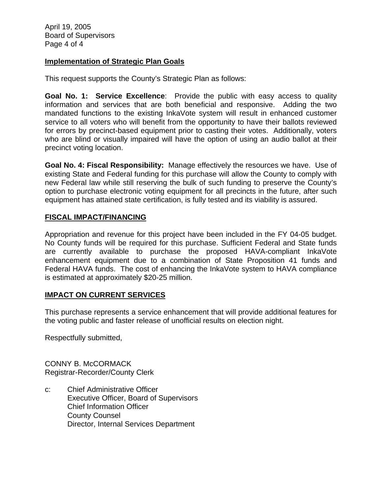### **Implementation of Strategic Plan Goals**

This request supports the County's Strategic Plan as follows:

**Goal No. 1: Service Excellence**: Provide the public with easy access to quality information and services that are both beneficial and responsive. Adding the two mandated functions to the existing InkaVote system will result in enhanced customer service to all voters who will benefit from the opportunity to have their ballots reviewed for errors by precinct-based equipment prior to casting their votes. Additionally, voters who are blind or visually impaired will have the option of using an audio ballot at their precinct voting location.

**Goal No. 4: Fiscal Responsibility:** Manage effectively the resources we have. Use of existing State and Federal funding for this purchase will allow the County to comply with new Federal law while still reserving the bulk of such funding to preserve the County's option to purchase electronic voting equipment for all precincts in the future, after such equipment has attained state certification, is fully tested and its viability is assured.

#### **FISCAL IMPACT/FINANCING**

Appropriation and revenue for this project have been included in the FY 04-05 budget. No County funds will be required for this purchase. Sufficient Federal and State funds are currently available to purchase the proposed HAVA-compliant InkaVote enhancement equipment due to a combination of State Proposition 41 funds and Federal HAVA funds. The cost of enhancing the InkaVote system to HAVA compliance is estimated at approximately \$20-25 million.

## **IMPACT ON CURRENT SERVICES**

This purchase represents a service enhancement that will provide additional features for the voting public and faster release of unofficial results on election night.

Respectfully submitted,

CONNY B. McCORMACK Registrar-Recorder/County Clerk

c: Chief Administrative Officer Executive Officer, Board of Supervisors Chief Information Officer County Counsel Director, Internal Services Department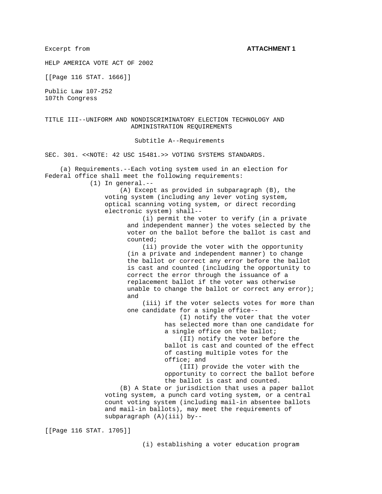#### Excerpt from **ATTACHMENT 1**

HELP AMERICA VOTE ACT OF 2002

[[Page 116 STAT. 1666]]

Public Law 107-252 107th Congress

#### TITLE III--UNIFORM AND NONDISCRIMINATORY ELECTION TECHNOLOGY AND ADMINISTRATION REQUIREMENTS

#### Subtitle A--Requirements

SEC. 301. << NOTE: 42 USC 15481.>> VOTING SYSTEMS STANDARDS.

 (a) Requirements.--Each voting system used in an election for Federal office shall meet the following requirements:

(1) In general.--

 (A) Except as provided in subparagraph (B), the voting system (including any lever voting system, optical scanning voting system, or direct recording electronic system) shall--

> (i) permit the voter to verify (in a private and independent manner) the votes selected by the voter on the ballot before the ballot is cast and counted;

 (ii) provide the voter with the opportunity (in a private and independent manner) to change the ballot or correct any error before the ballot is cast and counted (including the opportunity to correct the error through the issuance of a replacement ballot if the voter was otherwise unable to change the ballot or correct any error); and

 (iii) if the voter selects votes for more than one candidate for a single office--

> (I) notify the voter that the voter has selected more than one candidate for a single office on the ballot;

 (II) notify the voter before the ballot is cast and counted of the effect of casting multiple votes for the office; and

 (III) provide the voter with the opportunity to correct the ballot before the ballot is cast and counted.

 (B) A State or jurisdiction that uses a paper ballot voting system, a punch card voting system, or a central count voting system (including mail-in absentee ballots and mail-in ballots), may meet the requirements of subparagraph (A)(iii) by--

[[Page 116 STAT. 1705]]

(i) establishing a voter education program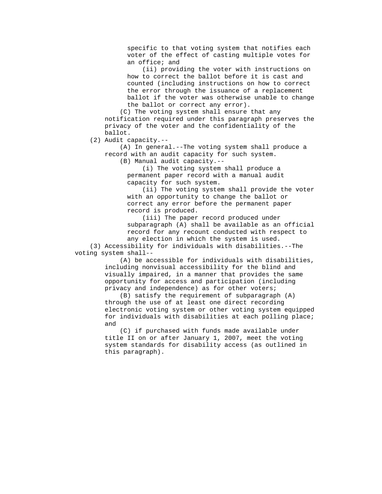specific to that voting system that notifies each voter of the effect of casting multiple votes for an office; and

 (ii) providing the voter with instructions on how to correct the ballot before it is cast and counted (including instructions on how to correct the error through the issuance of a replacement ballot if the voter was otherwise unable to change the ballot or correct any error).

 (C) The voting system shall ensure that any notification required under this paragraph preserves the privacy of the voter and the confidentiality of the ballot.

(2) Audit capacity.--

 (A) In general.--The voting system shall produce a record with an audit capacity for such system.

(B) Manual audit capacity.--

 (i) The voting system shall produce a permanent paper record with a manual audit capacity for such system.

 (ii) The voting system shall provide the voter with an opportunity to change the ballot or correct any error before the permanent paper record is produced.

 (iii) The paper record produced under subparagraph (A) shall be available as an official record for any recount conducted with respect to any election in which the system is used.

 (3) Accessibility for individuals with disabilities.--The voting system shall--

> (A) be accessible for individuals with disabilities, including nonvisual accessibility for the blind and visually impaired, in a manner that provides the same opportunity for access and participation (including privacy and independence) as for other voters;

 (B) satisfy the requirement of subparagraph (A) through the use of at least one direct recording electronic voting system or other voting system equipped for individuals with disabilities at each polling place; and

 (C) if purchased with funds made available under title II on or after January 1, 2007, meet the voting system standards for disability access (as outlined in this paragraph).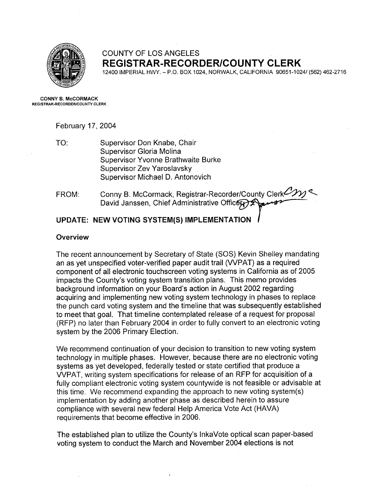

# COUNTY OF LOS ANGELES **REGISTRAR-RECORDER/COUNTY CLERK**

12400 IMPERIAL HWY. - P.O. BOX 1024, NORWALK, CALIFORNIA 90651-1024/ (562) 462-2716

**CONNY B. McCORMACK REGISTRAR-RECORDER/COUNTY CLERK** 

#### February 17, 2004

- TO: Supervisor Don Knabe, Chair Supervisor Gloria Molina Supervisor Yvonne Brathwaite Burke Supervisor Zev Yaroslavsky Supervisor Michael D. Antonovich
- Conny B. McCormack, Registrar-Recorder/County Clerk<sup>2</sup>200 FROM: David Janssen, Chief Administrative Office

# **UPDATE: NEW VOTING SYSTEM(S) IMPLEMENTATION**

#### Overview

The recent announcement by Secretary of State (SOS) Kevin Shelley mandating an as vet unspecified voter-verified paper audit trail (VVPAT) as a required component of all electronic touchscreen voting systems in California as of 2005 impacts the County's voting system transition plans. This memo provides background information on your Board's action in August 2002 regarding acquiring and implementing new voting system technology in phases to replace the punch card voting system and the timeline that was subsequently established to meet that goal. That timeline contemplated release of a request for proposal (RFP) no later than February 2004 in order to fully convert to an electronic voting system by the 2006 Primary Election.

We recommend continuation of your decision to transition to new voting system technology in multiple phases. However, because there are no electronic voting systems as yet developed, federally tested or state certified that produce a VVPAT, writing system specifications for release of an RFP for acquisition of a fully compliant electronic voting system countywide is not feasible or advisable at this time. We recommend expanding the approach to new voting system(s) implementation by adding another phase as described herein to assure compliance with several new federal Help America Vote Act (HAVA) requirements that become effective in 2006.

The established plan to utilize the County's InkaVote optical scan paper-based voting system to conduct the March and November 2004 elections is not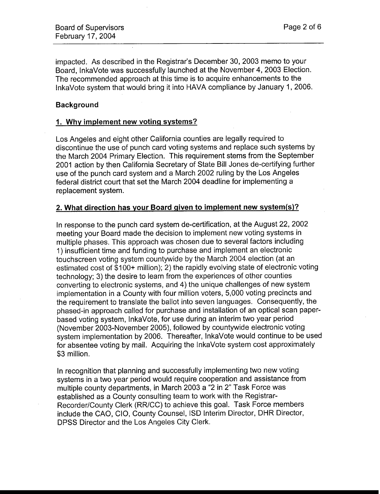impacted. As described in the Registrar's December 30, 2003 memo to your Board, InkaVote was successfully launched at the November 4, 2003 Election. The recommended approach at this time is to acquire enhancements to the InkaVote system that would bring it into HAVA compliance by January 1, 2006.

#### **Background**

#### 1. Why implement new voting systems?

Los Angeles and eight other California counties are legally required to discontinue the use of punch card voting systems and replace such systems by the March 2004 Primary Election. This requirement stems from the September 2001 action by then California Secretary of State Bill Jones de-certifying further use of the punch card system and a March 2002 ruling by the Los Angeles federal district court that set the March 2004 deadline for implementing a replacement system.

#### 2. What direction has your Board given to implement new system(s)?

In response to the punch card system de-certification, at the August 22, 2002 meeting your Board made the decision to implement new voting systems in multiple phases. This approach was chosen due to several factors including 1) insufficient time and funding to purchase and implement an electronic touchscreen voting system countywide by the March 2004 election (at an estimated cost of \$100+ million); 2) the rapidly evolving state of electronic voting technology; 3) the desire to learn from the experiences of other counties converting to electronic systems, and 4) the unique challenges of new system implementation in a County with four million voters, 5,000 voting precincts and the requirement to translate the ballot into seven languages. Consequently, the phased-in approach called for purchase and installation of an optical scan paperbased voting system, InkaVote, for use during an interim two year period (November 2003-November 2005), followed by countywide electronic voting system implementation by 2006. Thereafter, InkaVote would continue to be used for absentee voting by mail. Acquiring the InkaVote system cost approximately \$3 million.

In recognition that planning and successfully implementing two new voting systems in a two year period would require cooperation and assistance from multiple county departments, in March 2003 a "2 in 2" Task Force was established as a County consulting team to work with the Registrar-Recorder/County Clerk (RR/CC) to achieve this goal. Task Force members include the CAO, CIO, County Counsel, ISD Interim Director, DHR Director, DPSS Director and the Los Angeles City Clerk.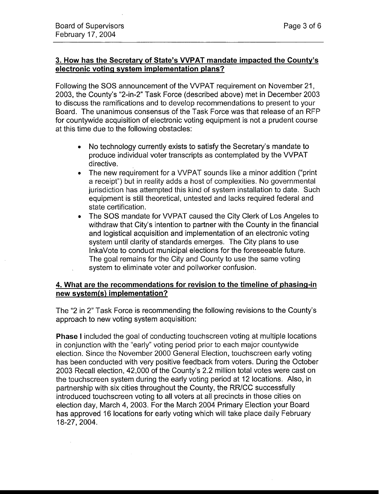## 3. How has the Secretary of State's VVPAT mandate impacted the County's electronic voting system implementation plans?

Following the SOS announcement of the VVPAT requirement on November 21, 2003, the County's "2-in-2" Task Force (described above) met in December 2003 to discuss the ramifications and to develop recommendations to present to your Board. The unanimous consensus of the Task Force was that release of an RFP for countywide acquisition of electronic voting equipment is not a prudent course at this time due to the following obstacles:

- No technology currently exists to satisfy the Secretary's mandate to produce individual voter transcripts as contemplated by the VVPAT directive.
- The new requirement for a VVPAT sounds like a minor addition ("print" a receipt") but in reality adds a host of complexities. No governmental jurisdiction has attempted this kind of system installation to date. Such equipment is still theoretical, untested and lacks required federal and state certification.
- The SOS mandate for VVPAT caused the City Clerk of Los Angeles to withdraw that City's intention to partner with the County in the financial and logistical acquisition and implementation of an electronic voting system until clarity of standards emerges. The City plans to use InkaVote to conduct municipal elections for the foreseeable future. The goal remains for the City and County to use the same voting system to eliminate voter and pollworker confusion.

## 4. What are the recommendations for revision to the timeline of phasing-in new system(s) implementation?

The "2 in 2" Task Force is recommending the following revisions to the County's approach to new voting system acquisition:

**Phase I** included the goal of conducting touchscreen voting at multiple locations in conjunction with the "early" voting period prior to each major countywide election. Since the November 2000 General Election, touchscreen early voting has been conducted with very positive feedback from voters. During the October 2003 Recall election, 42,000 of the County's 2.2 million total votes were cast on the touchscreen system during the early voting period at 12 locations. Also, in partnership with six cities throughout the County, the RR/CC successfully introduced touchscreen voting to all voters at all precincts in those cities on election day, March 4, 2003. For the March 2004 Primary Election your Board has approved 16 locations for early voting which will take place daily February 18-27, 2004.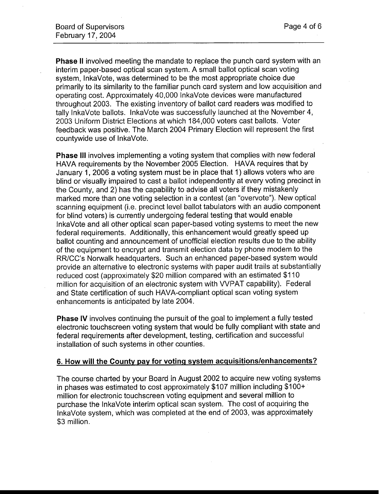**Phase II** involved meeting the mandate to replace the punch card system with an interim paper-based optical scan system. A small ballot optical scan voting system. InkaVote, was determined to be the most appropriate choice due primarily to its similarity to the familiar punch card system and low acquisition and operating cost. Approximately 40,000 InkaVote devices were manufactured throughout 2003. The existing inventory of ballot card readers was modified to tally InkaVote ballots. InkaVote was successfully launched at the November 4, 2003 Uniform District Elections at which 184,000 voters cast ballots. Voter feedback was positive. The March 2004 Primary Election will represent the first countywide use of InkaVote.

**Phase III** involves implementing a voting system that complies with new federal HAVA requirements by the November 2005 Election. HAVA requires that by January 1, 2006 a voting system must be in place that 1) allows voters who are blind or visually impaired to cast a ballot independently at every voting precinct in the County, and 2) has the capability to advise all voters if they mistakenly marked more than one voting selection in a contest (an "overvote"). New optical scanning equipment (i.e. precinct level ballot tabulators with an audio component for blind voters) is currently undergoing federal testing that would enable InkaVote and all other optical scan paper-based voting systems to meet the new federal requirements. Additionally, this enhancement would greatly speed up ballot counting and announcement of unofficial election results due to the ability of the equipment to encrypt and transmit election data by phone modem to the RR/CC's Norwalk headquarters. Such an enhanced paper-based system would provide an alternative to electronic systems with paper audit trails at substantially reduced cost (approximately \$20 million compared with an estimated \$110 million for acquisition of an electronic system with VVPAT capability). Federal and State certification of such HAVA-compliant optical scan voting system enhancements is anticipated by late 2004.

**Phase IV** involves continuing the pursuit of the goal to implement a fully tested electronic touchscreen voting system that would be fully compliant with state and federal requirements after development, testing, certification and successful installation of such systems in other counties.

#### 6. How will the County pay for voting system acquisitions/enhancements?

The course charted by your Board in August 2002 to acquire new voting systems in phases was estimated to cost approximately \$107 million including \$100+ million for electronic touchscreen voting equipment and several million to purchase the InkaVote interim optical scan system. The cost of acquiring the InkaVote system, which was completed at the end of 2003, was approximately \$3 million.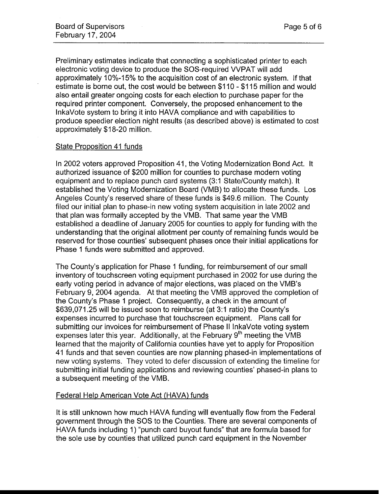Preliminary estimates indicate that connecting a sophisticated printer to each electronic voting device to produce the SOS-required VVPAT will add approximately 10%-15% to the acquisition cost of an electronic system. If that estimate is borne out, the cost would be between \$110 - \$115 million and would also entail greater ongoing costs for each election to purchase paper for the required printer component. Conversely, the proposed enhancement to the InkaVote system to bring it into HAVA compliance and with capabilities to produce speedier election night results (as described above) is estimated to cost approximately \$18-20 million.

#### **State Proposition 41 funds**

In 2002 voters approved Proposition 41, the Voting Modernization Bond Act. It authorized issuance of \$200 million for counties to purchase modern voting equipment and to replace punch card systems (3:1 State/County match). It established the Voting Modernization Board (VMB) to allocate these funds. Los Angeles County's reserved share of these funds is \$49.6 million. The County filed our initial plan to phase-in new voting system acquisition in late 2002 and that plan was formally accepted by the VMB. That same year the VMB established a deadline of January 2005 for counties to apply for funding with the understanding that the original allotment per county of remaining funds would be reserved for those counties' subsequent phases once their initial applications for Phase 1 funds were submitted and approved.

The County's application for Phase 1 funding, for reimbursement of our small inventory of touchscreen voting equipment purchased in 2002 for use during the early voting period in advance of major elections, was placed on the VMB's February 9, 2004 agenda. At that meeting the VMB approved the completion of the County's Phase 1 project. Consequently, a check in the amount of \$639,071.25 will be issued soon to reimburse (at 3:1 ratio) the County's expenses incurred to purchase that touchscreen equipment. Plans call for submitting our invoices for reimbursement of Phase II InkaVote voting system expenses later this year. Additionally, at the February 9th meeting the VMB learned that the majority of California counties have yet to apply for Proposition 41 funds and that seven counties are now planning phased-in implementations of new voting systems. They voted to defer discussion of extending the timeline for submitting initial funding applications and reviewing counties' phased-in plans to a subsequent meeting of the VMB.

#### Federal Help American Vote Act (HAVA) funds

It is still unknown how much HAVA funding will eventually flow from the Federal government through the SOS to the Counties. There are several components of HAVA funds including 1) "punch card buyout funds" that are formula based for the sole use by counties that utilized punch card equipment in the November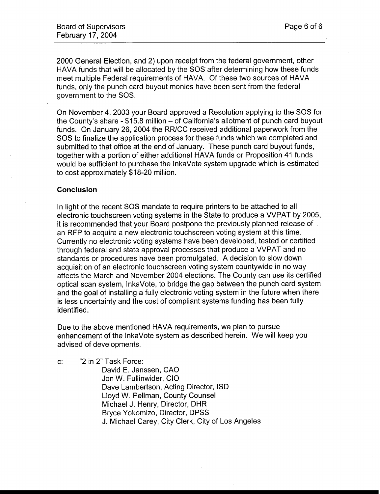2000 General Election, and 2) upon receipt from the federal government. other HAVA funds that will be allocated by the SOS after determining how these funds meet multiple Federal requirements of HAVA. Of these two sources of HAVA funds, only the punch card buyout monies have been sent from the federal government to the SOS.

On November 4, 2003 your Board approved a Resolution applying to the SOS for the County's share - \$15.8 million - of California's allotment of punch card buyout funds. On January 26, 2004 the RR/CC received additional paperwork from the SOS to finalize the application process for these funds which we completed and submitted to that office at the end of January. These punch card buyout funds, together with a portion of either additional HAVA funds or Proposition 41 funds would be sufficient to purchase the InkaVote system upgrade which is estimated to cost approximately \$18-20 million.

#### **Conclusion**

In light of the recent SOS mandate to require printers to be attached to all electronic touchscreen voting systems in the State to produce a VVPAT by 2005, it is recommended that your Board postpone the previously planned release of an RFP to acquire a new electronic touchscreen voting system at this time. Currently no electronic voting systems have been developed, tested or certified through federal and state approval processes that produce a VVPAT and no standards or procedures have been promulgated. A decision to slow down acquisition of an electronic touchscreen voting system countywide in no way affects the March and November 2004 elections. The County can use its certified optical scan system, InkaVote, to bridge the gap between the punch card system and the goal of installing a fully electronic voting system in the future when there is less uncertainty and the cost of compliant systems funding has been fully identified.

Due to the above mentioned HAVA requirements, we plan to pursue enhancement of the InkaVote system as described herein. We will keep you advised of developments.

"2 in 2" Task Force:  $C.$ 

David E. Janssen, CAO Jon W. Fullinwider, CIO Dave Lambertson, Acting Director, ISD Lloyd W. Pellman, County Counsel Michael J. Henry, Director, DHR Bryce Yokomizo, Director, DPSS J. Michael Carey, City Clerk, City of Los Angeles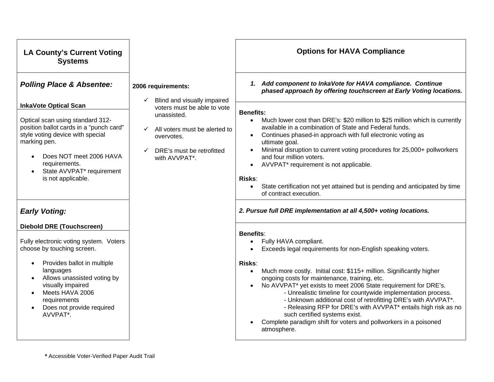| <b>LA County's Current Voting</b><br><b>Systems</b>                                                                                                                                                                                                                                                            |                                                                                                                                                                                                                              | <b>Options for HAVA Compliance</b>                                                                                                                                                                                                                                                                                                                                                                                                                                                                                                                                                                                                            |
|----------------------------------------------------------------------------------------------------------------------------------------------------------------------------------------------------------------------------------------------------------------------------------------------------------------|------------------------------------------------------------------------------------------------------------------------------------------------------------------------------------------------------------------------------|-----------------------------------------------------------------------------------------------------------------------------------------------------------------------------------------------------------------------------------------------------------------------------------------------------------------------------------------------------------------------------------------------------------------------------------------------------------------------------------------------------------------------------------------------------------------------------------------------------------------------------------------------|
| <b>Polling Place &amp; Absentee:</b>                                                                                                                                                                                                                                                                           | 2006 requirements:<br>Blind and visually impaired<br>$\checkmark$<br>voters must be able to vote<br>unassisted.<br>All voters must be alerted to<br>overvotes.<br>DRE's must be retrofitted<br>$\checkmark$<br>with AVVPAT*. | 1. Add component to InkaVote for HAVA compliance. Continue<br>phased approach by offering touchscreen at Early Voting locations.                                                                                                                                                                                                                                                                                                                                                                                                                                                                                                              |
| <b>InkaVote Optical Scan</b><br>Optical scan using standard 312-<br>position ballot cards in a "punch card"<br>style voting device with special<br>marking pen.<br>Does NOT meet 2006 HAVA<br>requirements.<br>State AVVPAT* requirement<br>$\bullet$<br>is not applicable.                                    |                                                                                                                                                                                                                              | <b>Benefits:</b><br>Much lower cost than DRE's: \$20 million to \$25 million which is currently<br>$\bullet$<br>available in a combination of State and Federal funds.<br>Continues phased-in approach with full electronic voting as<br>$\bullet$<br>ultimate goal.<br>Minimal disruption to current voting procedures for 25,000+ pollworkers<br>$\bullet$<br>and four million voters.<br>AVVPAT <sup>*</sup> requirement is not applicable.<br>$\bullet$<br>Risks:<br>State certification not yet attained but is pending and anticipated by time<br>of contract execution.                                                                |
| <b>Early Voting:</b>                                                                                                                                                                                                                                                                                           |                                                                                                                                                                                                                              | 2. Pursue full DRE implementation at all 4,500+ voting locations.                                                                                                                                                                                                                                                                                                                                                                                                                                                                                                                                                                             |
| <b>Diebold DRE (Touchscreen)</b><br>Fully electronic voting system. Voters<br>choose by touching screen.<br>Provides ballot in multiple<br>$\bullet$<br>languages<br>Allows unassisted voting by<br>$\bullet$<br>visually impaired<br>Meets HAVA 2006<br>requirements<br>Does not provide required<br>AVVPAT*. |                                                                                                                                                                                                                              | <b>Benefits:</b><br>Fully HAVA compliant.<br>Exceeds legal requirements for non-English speaking voters.<br><b>Risks:</b><br>Much more costly. Initial cost: \$115+ million. Significantly higher<br>ongoing costs for maintenance, training, etc.<br>No AVVPAT* yet exists to meet 2006 State requirement for DRE's.<br>- Unrealistic timeline for countywide implementation process.<br>- Unknown additional cost of retrofitting DRE's with AVVPAT*.<br>- Releasing RFP for DRE's with AVVPAT* entails high risk as no<br>such certified systems exist.<br>Complete paradigm shift for voters and pollworkers in a poisoned<br>atmosphere. |

**\*** Accessible Voter-Verified Paper Audit Trail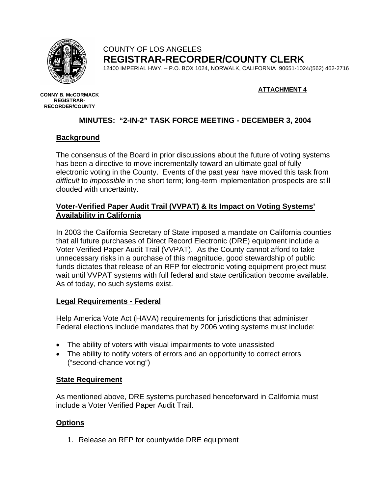

# COUNTY OF LOS ANGELES **REGISTRAR-RECORDER/COUNTY CLERK**

12400 IMPERIAL HWY. – P.O. BOX 1024, NORWALK, CALIFORNIA 90651-1024/(562) 462-2716

## **ATTACHMENT 4**

**CONNY B. McCORMACK REGISTRAR-RECORDER/COUNTY**

# **MINUTES: "2-IN-2" TASK FORCE MEETING - DECEMBER 3, 2004**

# **Background**

The consensus of the Board in prior discussions about the future of voting systems has been a directive to move incrementally toward an ultimate goal of fully electronic voting in the County. Events of the past year have moved this task from *difficult* to *impossible* in the short term; long-term implementation prospects are still clouded with uncertainty.

## **Voter-Verified Paper Audit Trail (VVPAT) & Its Impact on Voting Systems' Availability in California**

In 2003 the California Secretary of State imposed a mandate on California counties that all future purchases of Direct Record Electronic (DRE) equipment include a Voter Verified Paper Audit Trail (VVPAT). As the County cannot afford to take unnecessary risks in a purchase of this magnitude, good stewardship of public funds dictates that release of an RFP for electronic voting equipment project must wait until VVPAT systems with full federal and state certification become available. As of today, no such systems exist.

# **Legal Requirements - Federal**

Help America Vote Act (HAVA) requirements for jurisdictions that administer Federal elections include mandates that by 2006 voting systems must include:

- The ability of voters with visual impairments to vote unassisted
- The ability to notify voters of errors and an opportunity to correct errors ("second-chance voting")

# **State Requirement**

As mentioned above, DRE systems purchased henceforward in California must include a Voter Verified Paper Audit Trail.

# **Options**

1. Release an RFP for countywide DRE equipment